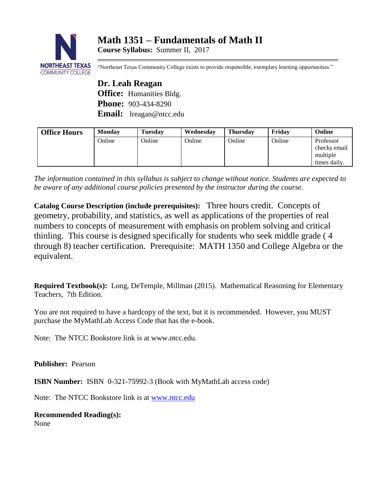# **Math 1351 – Fundamentals of Math II**

**Course Syllabus:** Summer II, 2017



"Northeast Texas Community College exists to provide responsible, exemplary learning opportunities."

**Dr. Leah Reagan Office:** Humanities Bldg. **Phone:** 903-434-8290 **Email:** lreagan@ntcc.edu

| <b>Office Hours</b> | <b>Monday</b> | <b>Tuesday</b> | Wednesday | <b>Thursday</b> | Fridav | Online                                                |
|---------------------|---------------|----------------|-----------|-----------------|--------|-------------------------------------------------------|
|                     | Online        | Online         | Online    | Online          | Online | Professor<br>checks email<br>multiple<br>times daily. |

*The information contained in this syllabus is subject to change without notice. Students are expected to be aware of any additional course policies presented by the instructor during the course.*

**Catalog Course Description (include prerequisites):** Three hours credit. Concepts of geometry, probability, and statistics, as well as applications of the properties of real numbers to concepts of measurement with emphasis on problem solving and critical thinling. This course is designed specifically for students who seek middle grade ( 4 through 8) teacher certification. Prerequisite: MATH 1350 and College Algebra or the equivalent.

**Required Textbook(s):** Long, DeTemple, Millman (2015). Mathematical Reasoning for Elementary Teachers, 7th Edition.

You are not required to have a hardcopy of the text, but it is recommended. However, you MUST purchase the MyMathLab Access Code that has the e-book.

Note: The NTCC Bookstore link is at www.ntcc.edu.

**Publisher:** Pearson

**ISBN Number:** ISBN 0-321-75992-3 (Book with MyMathLab access code)

Note: The NTCC Bookstore link is at [www.ntcc.edu](http://www.ntcc.edu/)

**Recommended Reading(s):** None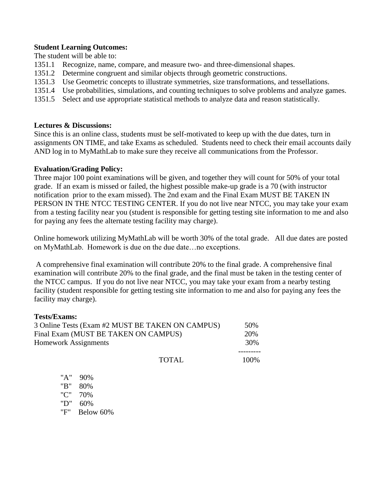## **Student Learning Outcomes:**

The student will be able to:

- 1351.1 Recognize, name, compare, and measure two- and three-dimensional shapes.
- 1351.2 Determine congruent and similar objects through geometric constructions.
- 1351.3 Use Geometric concepts to illustrate symmetries, size transformations, and tessellations.
- 1351.4 Use probabilities, simulations, and counting techniques to solve problems and analyze games.
- 1351.5 Select and use appropriate statistical methods to analyze data and reason statistically.

## **Lectures & Discussions:**

Since this is an online class, students must be self-motivated to keep up with the due dates, turn in assignments ON TIME, and take Exams as scheduled. Students need to check their email accounts daily AND log in to MyMathLab to make sure they receive all communications from the Professor.

## **Evaluation/Grading Policy:**

Three major 100 point examinations will be given, and together they will count for 50% of your total grade. If an exam is missed or failed, the highest possible make-up grade is a 70 (with instructor notification prior to the exam missed). The 2nd exam and the Final Exam MUST BE TAKEN IN PERSON IN THE NTCC TESTING CENTER. If you do not live near NTCC, you may take your exam from a testing facility near you (student is responsible for getting testing site information to me and also for paying any fees the alternate testing facility may charge).

Online homework utilizing MyMathLab will be worth 30% of the total grade. All due dates are posted on MyMathLab. Homework is due on the due date…no exceptions.

A comprehensive final examination will contribute 20% to the final grade. A comprehensive final examination will contribute 20% to the final grade, and the final must be taken in the testing center of the NTCC campus. If you do not live near NTCC, you may take your exam from a nearby testing facility (student responsible for getting testing site information to me and also for paying any fees the facility may charge).

#### **Tests/Exams:**

| 3 Online Tests (Exam #2 MUST BE TAKEN ON CAMPUS) |       | 50%   |
|--------------------------------------------------|-------|-------|
| Final Exam (MUST BE TAKEN ON CAMPUS)             |       | 20%   |
| <b>Homework Assignments</b>                      |       | 30%   |
|                                                  | TOTAL | 100\% |

 "A" 90% "B" 80% "C" 70% "D" 60% "F" Below 60%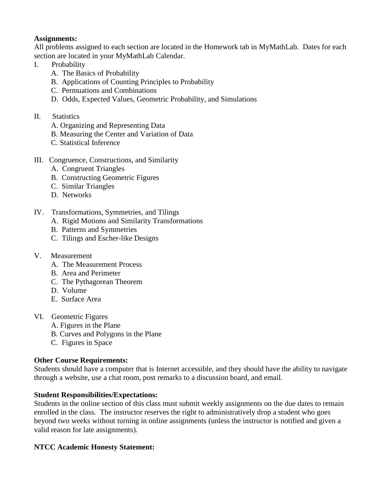# **Assignments:**

All problems assigned to each section are located in the Homework tab in MyMathLab. Dates for each section are located in your MyMathLab Calendar.

# I. Probability

- A. The Basics of Probability
- B. Applications of Counting Principles to Probability
- C. Permuations and Combinations
- D. Odds, Expected Values, Geometric Probability, and Simulations
- II. Statistics
	- A. Organizing and Representing Data
	- B. Measuring the Center and Variation of Data
	- C. Statistical Inference
- III. Congruence, Constructions, and Similarity
	- A. Congruent Triangles
	- B. Constructing Geometric Figures
	- C. Similar Triangles
	- D. Networks
- IV. Transformations, Symmetries, and Tilings
	- A. Rigid Motions and Similarity Transformations
	- B. Patterns and Symmetries
	- C. Tilings and Escher-like Designs
- V. Measurement
	- A. The Measurement Process
	- B. Area and Perimeter
	- C. The Pythagorean Theorem
	- D. Volume
	- E. Surface Area
- VI. Geometric Figures
	- A. Figures in the Plane
	- B. Curves and Polygons in the Plane
	- C. Figures in Space

# **Other Course Requirements:**

Students should have a computer that is Internet accessible, and they should have the ability to navigate through a website, use a chat room, post remarks to a discussion board, and email.

# **Student Responsibilities/Expectations:**

Students in the online section of this class must submit weekly assignments on the due dates to remain enrolled in the class. The instructor reserves the right to administratively drop a student who goes beyond two weeks without turning in online assignments (unless the instructor is notified and given a valid reason for late assignments).

# **NTCC Academic Honesty Statement:**